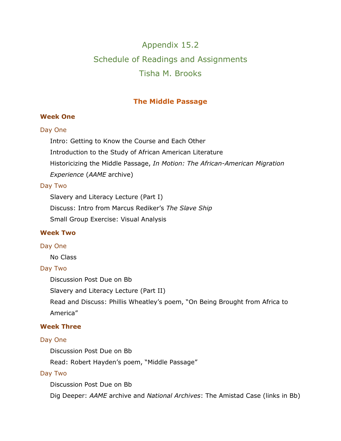# Appendix 15.2 Schedule of Readings and Assignments Tisha M. Brooks

# **The Middle Passage**

# **Week One**

# Day One

Intro: Getting to Know the Course and Each Other

Introduction to the Study of African American Literature

Historicizing the Middle Passage, *In Motion: The African-American Migration* 

*Experience* (*AAME* archive)

# Day Two

Slavery and Literacy Lecture (Part I)

Discuss: Intro from Marcus Rediker's *The Slave Ship*

Small Group Exercise: Visual Analysis

# **Week Two**

# Day One

No Class

# Day Two

Discussion Post Due on Bb

Slavery and Literacy Lecture (Part II)

Read and Discuss: Phillis Wheatley's poem, "On Being Brought from Africa to America"

# **Week Three**

# Day One

Discussion Post Due on Bb

Read: Robert Hayden's poem, "Middle Passage"

# Day Two

Discussion Post Due on Bb

Dig Deeper: *AAME* archive and *National Archives*: The Amistad Case (links in Bb)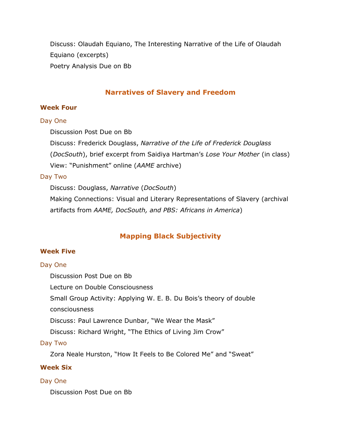Discuss: Olaudah Equiano, The Interesting Narrative of the Life of Olaudah Equiano (excerpts) Poetry Analysis Due on Bb

# **Narratives of Slavery and Freedom**

#### **Week Four**

#### Day One

Discussion Post Due on Bb

Discuss: Frederick Douglass, *Narrative of the Life of Frederick Douglass*

(*DocSouth*), brief excerpt from Saidiya Hartman's *Lose Your Mother* (in class)

View: "Punishment" online (*AAME* archive)

# Day Two

Discuss: Douglass, *Narrative* (*DocSouth*)

Making Connections: Visual and Literary Representations of Slavery (archival artifacts from *AAME, DocSouth, and PBS: Africans in America*)

# **Mapping Black Subjectivity**

# **Week Five**

# Day One

Discussion Post Due on Bb

Lecture on Double Consciousness

Small Group Activity: Applying W. E. B. Du Bois's theory of double

consciousness

Discuss: Paul Lawrence Dunbar, "We Wear the Mask"

Discuss: Richard Wright, "The Ethics of Living Jim Crow"

# Day Two

Zora Neale Hurston, "How It Feels to Be Colored Me" and "Sweat"

# **Week Six**

# Day One

Discussion Post Due on Bb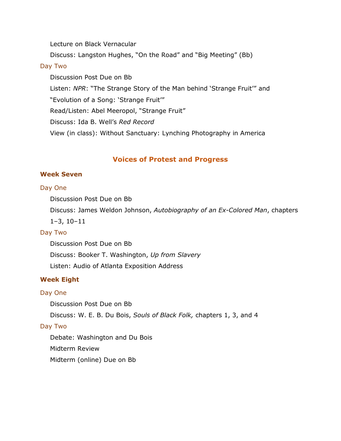Lecture on Black Vernacular

Discuss: Langston Hughes, "On the Road" and "Big Meeting" (Bb)

### Day Two

Discussion Post Due on Bb Listen: *NPR*: "The Strange Story of the Man behind 'Strange Fruit'" and "Evolution of a Song: 'Strange Fruit'" Read/Listen: Abel Meeropol, "Strange Fruit" Discuss: Ida B. Well's *Red Record* View (in class): Without Sanctuary: Lynching Photography in America

# **Voices of Protest and Progress**

# **Week Seven**

# Day One

Discussion Post Due on Bb

Discuss: James Weldon Johnson, *Autobiography of an Ex-Colored Man*, chapters

1–3, 10–11

#### Day Two

Discussion Post Due on Bb Discuss: Booker T. Washington, *Up from Slavery* Listen: Audio of Atlanta Exposition Address

# **Week Eight**

# Day One

Discussion Post Due on Bb

Discuss: W. E. B. Du Bois, *Souls of Black Folk,* chapters 1, 3, and 4

# Day Two

Debate: Washington and Du Bois Midterm Review Midterm (online) Due on Bb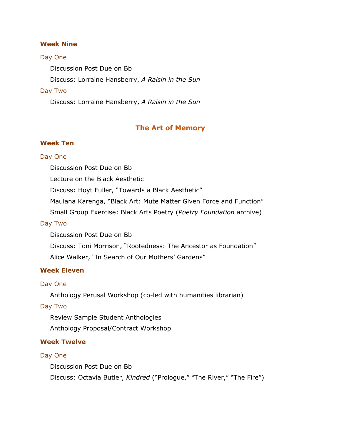#### **Week Nine**

#### Day One

Discussion Post Due on Bb

Discuss: Lorraine Hansberry, *A Raisin in the Sun*

#### Day Two

Discuss: Lorraine Hansberry, *A Raisin in the Sun*

### **The Art of Memory**

#### **Week Ten**

#### Day One

Discussion Post Due on Bb

Lecture on the Black Aesthetic

Discuss: Hoyt Fuller, "Towards a Black Aesthetic"

Maulana Karenga, "Black Art: Mute Matter Given Force and Function"

Small Group Exercise: Black Arts Poetry (*Poetry Foundation* archive)

#### Day Two

Discussion Post Due on Bb Discuss: Toni Morrison, "Rootedness: The Ancestor as Foundation" Alice Walker, "In Search of Our Mothers' Gardens"

# **Week Eleven**

#### Day One

Anthology Perusal Workshop (co-led with humanities librarian)

# Day Two

Review Sample Student Anthologies

Anthology Proposal/Contract Workshop

### **Week Twelve**

#### Day One

Discussion Post Due on Bb

Discuss: Octavia Butler, *Kindred* ("Prologue," "The River," "The Fire")